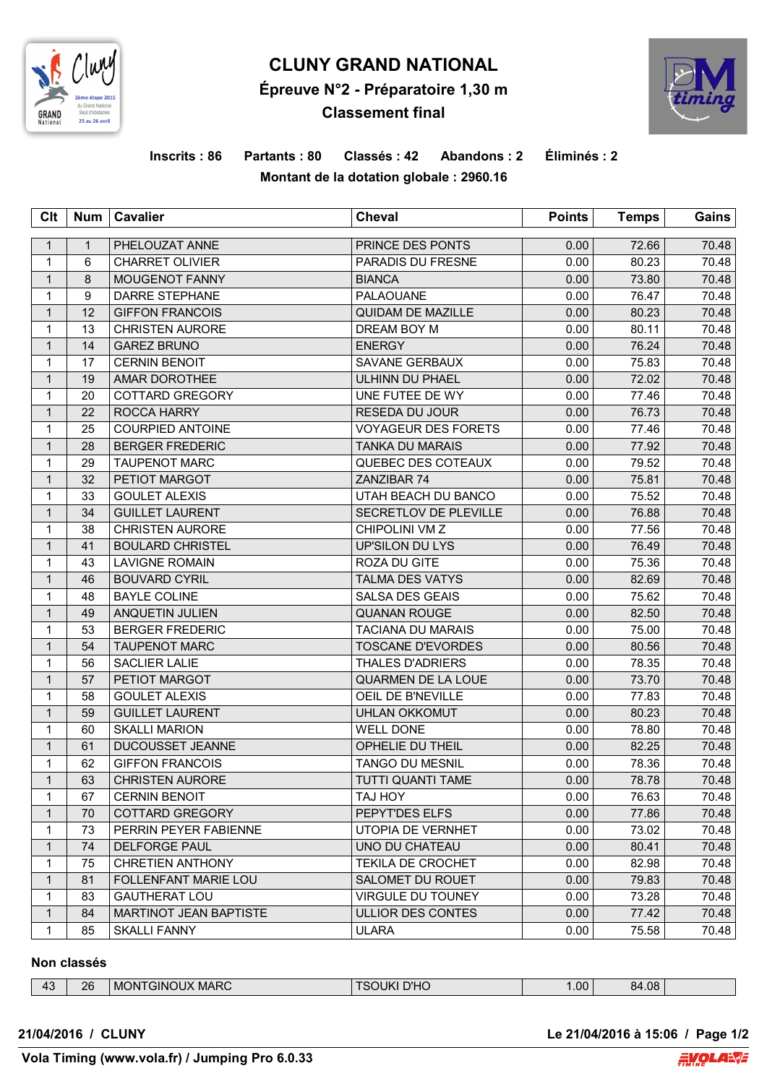

# **CLUNY GRAND NATIONAL Épreuve N°2 - Préparatoire 1,30 m Classement final**



## **Inscrits : 86 Partants : 80 Classés : 42 Abandons : 2 Éliminés : 2 Montant de la dotation globale : 2960.16**

| Clt          | Num          | <b>Cavalier</b>               | <b>Cheval</b>              | <b>Points</b> | <b>Temps</b> | Gains |
|--------------|--------------|-------------------------------|----------------------------|---------------|--------------|-------|
| $\mathbf{1}$ | $\mathbf{1}$ | PHELOUZAT ANNE                | PRINCE DES PONTS           | 0.00          | 72.66        | 70.48 |
| $\mathbf{1}$ | 6            | <b>CHARRET OLIVIER</b>        | PARADIS DU FRESNE          | 0.00          | 80.23        | 70.48 |
| $\mathbf{1}$ | 8            | MOUGENOT FANNY                | <b>BIANCA</b>              | 0.00          | 73.80        | 70.48 |
| $\mathbf{1}$ | 9            | <b>DARRE STEPHANE</b>         | PALAOUANE                  | 0.00          | 76.47        | 70.48 |
| $\mathbf{1}$ | 12           | <b>GIFFON FRANCOIS</b>        | <b>QUIDAM DE MAZILLE</b>   | 0.00          | 80.23        | 70.48 |
| $\mathbf{1}$ | 13           | <b>CHRISTEN AURORE</b>        | DREAM BOY M                | 0.00          | 80.11        | 70.48 |
| $\mathbf{1}$ | 14           | <b>GAREZ BRUNO</b>            | <b>ENERGY</b>              | 0.00          | 76.24        | 70.48 |
| 1            | 17           | <b>CERNIN BENOIT</b>          | SAVANE GERBAUX             | 0.00          | 75.83        | 70.48 |
| $\mathbf{1}$ | 19           | AMAR DOROTHEE                 | ULHINN DU PHAEL            | 0.00          | 72.02        | 70.48 |
| $\mathbf 1$  | 20           | COTTARD GREGORY               | UNE FUTEE DE WY            | 0.00          | 77.46        | 70.48 |
| $\mathbf{1}$ | 22           | ROCCA HARRY                   | RESEDA DU JOUR             | 0.00          | 76.73        | 70.48 |
| $\mathbf{1}$ | 25           | <b>COURPIED ANTOINE</b>       | <b>VOYAGEUR DES FORETS</b> | 0.00          | 77.46        | 70.48 |
| $\mathbf{1}$ | 28           | <b>BERGER FREDERIC</b>        | <b>TANKA DU MARAIS</b>     | 0.00          | 77.92        | 70.48 |
| 1            | 29           | <b>TAUPENOT MARC</b>          | QUEBEC DES COTEAUX         | 0.00          | 79.52        | 70.48 |
| $\mathbf{1}$ | 32           | PETIOT MARGOT                 | ZANZIBAR 74                | 0.00          | 75.81        | 70.48 |
| $\mathbf{1}$ | 33           | <b>GOULET ALEXIS</b>          | UTAH BEACH DU BANCO        | 0.00          | 75.52        | 70.48 |
| $\mathbf{1}$ | 34           | <b>GUILLET LAURENT</b>        | SECRETLOV DE PLEVILLE      | 0.00          | 76.88        | 70.48 |
| $\mathbf{1}$ | 38           | <b>CHRISTEN AURORE</b>        | CHIPOLINI VM Z             | 0.00          | 77.56        | 70.48 |
| $\mathbf{1}$ | 41           | <b>BOULARD CHRISTEL</b>       | <b>UP'SILON DU LYS</b>     | 0.00          | 76.49        | 70.48 |
| 1            | 43           | <b>LAVIGNE ROMAIN</b>         | ROZA DU GITE               | 0.00          | 75.36        | 70.48 |
| $\mathbf{1}$ | 46           | <b>BOUVARD CYRIL</b>          | <b>TALMA DES VATYS</b>     | 0.00          | 82.69        | 70.48 |
| $\mathbf{1}$ | 48           | <b>BAYLE COLINE</b>           | SALSA DES GEAIS            | 0.00          | 75.62        | 70.48 |
| $\mathbf{1}$ | 49           | ANQUETIN JULIEN               | <b>QUANAN ROUGE</b>        | 0.00          | 82.50        | 70.48 |
| $\mathbf 1$  | 53           | <b>BERGER FREDERIC</b>        | <b>TACIANA DU MARAIS</b>   | 0.00          | 75.00        | 70.48 |
| $\mathbf{1}$ | 54           | <b>TAUPENOT MARC</b>          | <b>TOSCANE D'EVORDES</b>   | 0.00          | 80.56        | 70.48 |
| $\mathbf{1}$ | 56           | <b>SACLIER LALIE</b>          | <b>THALES D'ADRIERS</b>    | 0.00          | 78.35        | 70.48 |
| $\mathbf{1}$ | 57           | PETIOT MARGOT                 | QUARMEN DE LA LOUE         | 0.00          | 73.70        | 70.48 |
| $\mathbf 1$  | 58           | <b>GOULET ALEXIS</b>          | OEIL DE B'NEVILLE          | 0.00          | 77.83        | 70.48 |
| $\mathbf{1}$ | 59           | <b>GUILLET LAURENT</b>        | <b>UHLAN OKKOMUT</b>       | 0.00          | 80.23        | 70.48 |
| $\mathbf 1$  | 60           | <b>SKALLI MARION</b>          | <b>WELL DONE</b>           | 0.00          | 78.80        | 70.48 |
| $\mathbf{1}$ | 61           | DUCOUSSET JEANNE              | OPHELIE DU THEIL           | 0.00          | 82.25        | 70.48 |
| $\mathbf{1}$ | 62           | <b>GIFFON FRANCOIS</b>        | <b>TANGO DU MESNIL</b>     | 0.00          | 78.36        | 70.48 |
| $\mathbf{1}$ | 63           | <b>CHRISTEN AURORE</b>        | <b>TUTTI QUANTI TAME</b>   | 0.00          | 78.78        | 70.48 |
| 1            | 67           | <b>CERNIN BENOIT</b>          | <b>TAJ HOY</b>             | 0.00          | 76.63        | 70.48 |
| $\mathbf{1}$ | 70           | <b>COTTARD GREGORY</b>        | PEPYT'DES ELFS             | 0.00          | 77.86        | 70.48 |
| 1            | 73           | PERRIN PEYER FABIENNE         | UTOPIA DE VERNHET          | 0.00          | 73.02        | 70.48 |
| $\mathbf{1}$ | 74           | <b>DELFORGE PAUL</b>          | UNO DU CHATEAU             | 0.00          | 80.41        | 70.48 |
| $\mathbf 1$  | 75           | <b>CHRETIEN ANTHONY</b>       | <b>TEKILA DE CROCHET</b>   | 0.00          | 82.98        | 70.48 |
| $\mathbf{1}$ | 81           | <b>FOLLENFANT MARIE LOU</b>   | SALOMET DU ROUET           | 0.00          | 79.83        | 70.48 |
| 1            | 83           | <b>GAUTHERAT LOU</b>          | <b>VIRGULE DU TOUNEY</b>   | 0.00          | 73.28        | 70.48 |
| $\mathbf{1}$ | 84           | <b>MARTINOT JEAN BAPTISTE</b> | ULLIOR DES CONTES          | 0.00          | 77.42        | 70.48 |
| $\mathbf{1}$ | 85           | <b>SKALLI FANNY</b>           | <b>ULARA</b>               | 0.00          | 75.58        | 70.48 |

#### **Non classés**

| $\sim$<br>τυ | 26 | <b>ONTGINOUX</b><br><b>MARC</b><br>M0 | <b>D'UC</b><br>$\mathbf{1}$ $\mathbf{1}$<br>7 HU.<br>`` | .00 <sub>1</sub> | $+08$<br>84 |  |
|--------------|----|---------------------------------------|---------------------------------------------------------|------------------|-------------|--|

**21/04/2016 / CLUNY Le 21/04/2016 à 15:06 / Page 1/2**